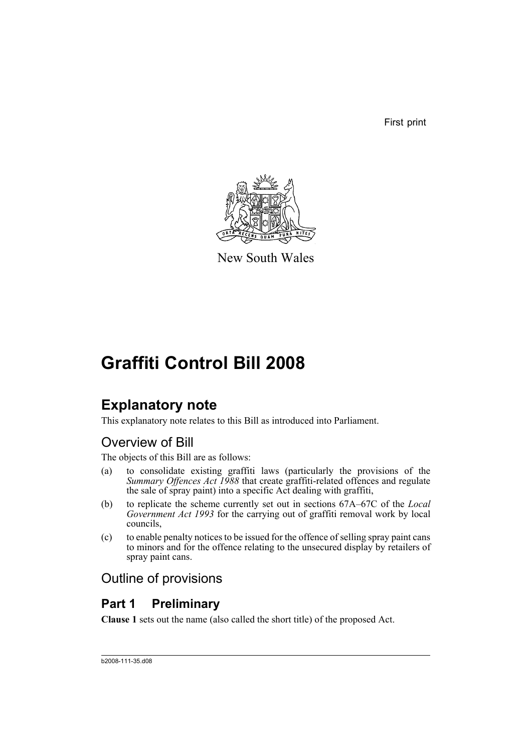First print



New South Wales

# **Graffiti Control Bill 2008**

## **Explanatory note**

This explanatory note relates to this Bill as introduced into Parliament.

## Overview of Bill

The objects of this Bill are as follows:

- (a) to consolidate existing graffiti laws (particularly the provisions of the *Summary Offences Act 1988* that create graffiti-related offences and regulate the sale of spray paint) into a specific Act dealing with graffiti,
- (b) to replicate the scheme currently set out in sections 67A–67C of the *Local Government Act 1993* for the carrying out of graffiti removal work by local councils,
- (c) to enable penalty notices to be issued for the offence of selling spray paint cans to minors and for the offence relating to the unsecured display by retailers of spray paint cans.

## Outline of provisions

## **Part 1 Preliminary**

**Clause 1** sets out the name (also called the short title) of the proposed Act.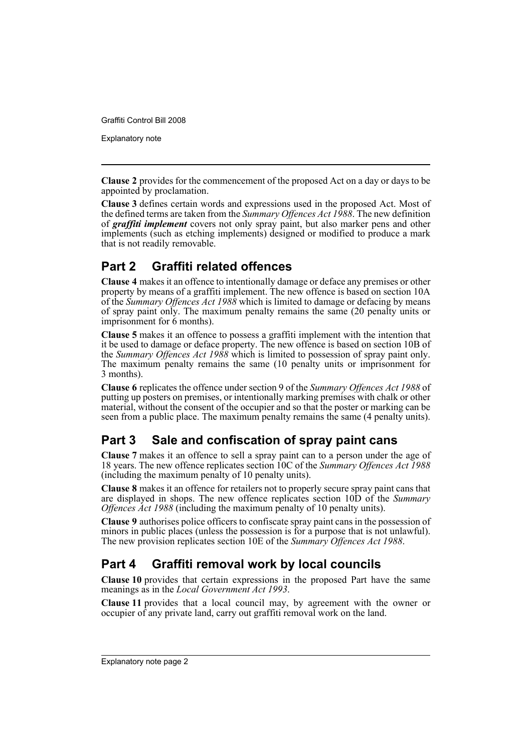Explanatory note

**Clause 2** provides for the commencement of the proposed Act on a day or days to be appointed by proclamation.

**Clause 3** defines certain words and expressions used in the proposed Act. Most of the defined terms are taken from the *Summary Offences Act 1988*. The new definition of *graffiti implement* covers not only spray paint, but also marker pens and other implements (such as etching implements) designed or modified to produce a mark that is not readily removable.

## **Part 2 Graffiti related offences**

**Clause 4** makes it an offence to intentionally damage or deface any premises or other property by means of a graffiti implement. The new offence is based on section 10A of the *Summary Offences Act 1988* which is limited to damage or defacing by means of spray paint only. The maximum penalty remains the same (20 penalty units or imprisonment for 6 months).

**Clause 5** makes it an offence to possess a graffiti implement with the intention that it be used to damage or deface property. The new offence is based on section 10B of the *Summary Offences Act 1988* which is limited to possession of spray paint only. The maximum penalty remains the same (10 penalty units or imprisonment for 3 months).

**Clause 6** replicates the offence under section 9 of the *Summary Offences Act 1988* of putting up posters on premises, or intentionally marking premises with chalk or other material, without the consent of the occupier and so that the poster or marking can be seen from a public place. The maximum penalty remains the same (4 penalty units).

## **Part 3 Sale and confiscation of spray paint cans**

**Clause 7** makes it an offence to sell a spray paint can to a person under the age of 18 years. The new offence replicates section 10C of the *Summary Offences Act 1988* (including the maximum penalty of 10 penalty units).

**Clause 8** makes it an offence for retailers not to properly secure spray paint cans that are displayed in shops. The new offence replicates section 10D of the *Summary Offences Act 1988* (including the maximum penalty of 10 penalty units).

**Clause 9** authorises police officers to confiscate spray paint cans in the possession of minors in public places (unless the possession is for a purpose that is not unlawful). The new provision replicates section 10E of the *Summary Offences Act 1988*.

## **Part 4 Graffiti removal work by local councils**

**Clause 10** provides that certain expressions in the proposed Part have the same meanings as in the *Local Government Act 1993*.

**Clause 11** provides that a local council may, by agreement with the owner or occupier of any private land, carry out graffiti removal work on the land.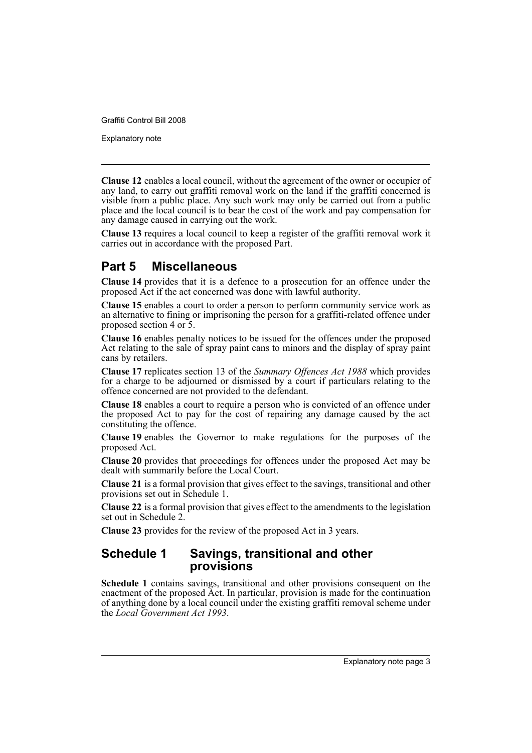Explanatory note

**Clause 12** enables a local council, without the agreement of the owner or occupier of any land, to carry out graffiti removal work on the land if the graffiti concerned is visible from a public place. Any such work may only be carried out from a public place and the local council is to bear the cost of the work and pay compensation for any damage caused in carrying out the work.

**Clause 13** requires a local council to keep a register of the graffiti removal work it carries out in accordance with the proposed Part.

## **Part 5 Miscellaneous**

**Clause 14** provides that it is a defence to a prosecution for an offence under the proposed Act if the act concerned was done with lawful authority.

**Clause 15** enables a court to order a person to perform community service work as an alternative to fining or imprisoning the person for a graffiti-related offence under proposed section 4 or 5.

**Clause 16** enables penalty notices to be issued for the offences under the proposed Act relating to the sale of spray paint cans to minors and the display of spray paint cans by retailers.

**Clause 17** replicates section 13 of the *Summary Offences Act 1988* which provides for a charge to be adjourned or dismissed by a court if particulars relating to the offence concerned are not provided to the defendant.

**Clause 18** enables a court to require a person who is convicted of an offence under the proposed Act to pay for the cost of repairing any damage caused by the act constituting the offence.

**Clause 19** enables the Governor to make regulations for the purposes of the proposed Act.

**Clause 20** provides that proceedings for offences under the proposed Act may be dealt with summarily before the Local Court.

**Clause 21** is a formal provision that gives effect to the savings, transitional and other provisions set out in Schedule 1.

**Clause 22** is a formal provision that gives effect to the amendments to the legislation set out in Schedule 2.

**Clause 23** provides for the review of the proposed Act in 3 years.

### **Schedule 1 Savings, transitional and other provisions**

**Schedule 1** contains savings, transitional and other provisions consequent on the enactment of the proposed Act. In particular, provision is made for the continuation of anything done by a local council under the existing graffiti removal scheme under the *Local Government Act 1993*.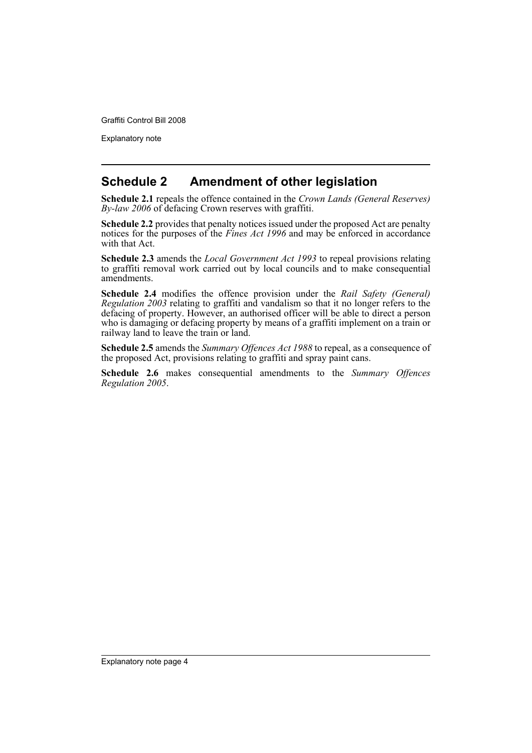Explanatory note

## **Schedule 2 Amendment of other legislation**

**Schedule 2.1** repeals the offence contained in the *Crown Lands (General Reserves) By-law 2006* of defacing Crown reserves with graffiti.

**Schedule 2.2** provides that penalty notices issued under the proposed Act are penalty notices for the purposes of the *Fines Act 1996* and may be enforced in accordance with that Act.

**Schedule 2.3** amends the *Local Government Act 1993* to repeal provisions relating to graffiti removal work carried out by local councils and to make consequential amendments.

**Schedule 2.4** modifies the offence provision under the *Rail Safety (General) Regulation 2003* relating to graffiti and vandalism so that it no longer refers to the defacing of property. However, an authorised officer will be able to direct a person who is damaging or defacing property by means of a graffiti implement on a train or railway land to leave the train or land.

**Schedule 2.5** amends the *Summary Offences Act 1988* to repeal, as a consequence of the proposed Act, provisions relating to graffiti and spray paint cans.

**Schedule 2.6** makes consequential amendments to the *Summary Offences Regulation 2005*.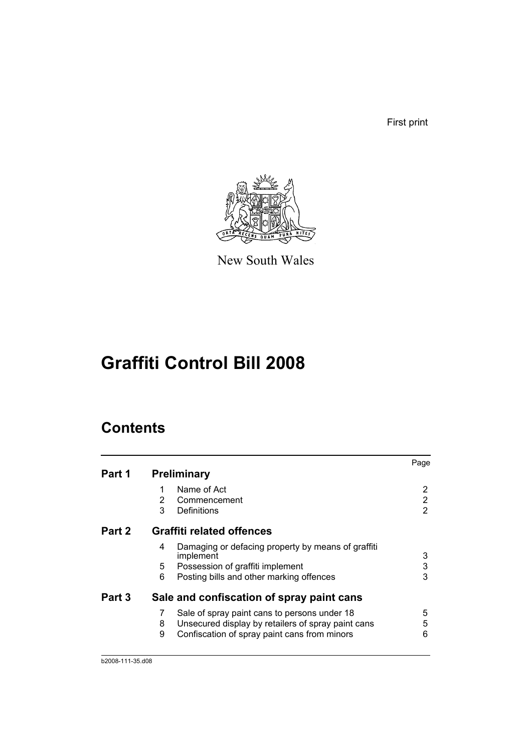First print



New South Wales

# **Graffiti Control Bill 2008**

## **Contents**

|        |                                                                      | Page |
|--------|----------------------------------------------------------------------|------|
| Part 1 | <b>Preliminary</b>                                                   |      |
|        | Name of Act<br>1                                                     | 2    |
|        | 2<br>Commencement                                                    | 2    |
|        | 3<br>Definitions                                                     | 2    |
| Part 2 | <b>Graffiti related offences</b>                                     |      |
|        | Damaging or defacing property by means of graffiti<br>4<br>implement | 3    |
|        | 5<br>Possession of graffiti implement                                | 3    |
|        | 6<br>Posting bills and other marking offences                        | 3    |
| Part 3 | Sale and confiscation of spray paint cans                            |      |
|        | Sale of spray paint cans to persons under 18<br>7                    | 5    |
|        | Unsecured display by retailers of spray paint cans<br>8              | 5    |
|        | 9<br>Confiscation of spray paint cans from minors                    | 6    |
|        |                                                                      |      |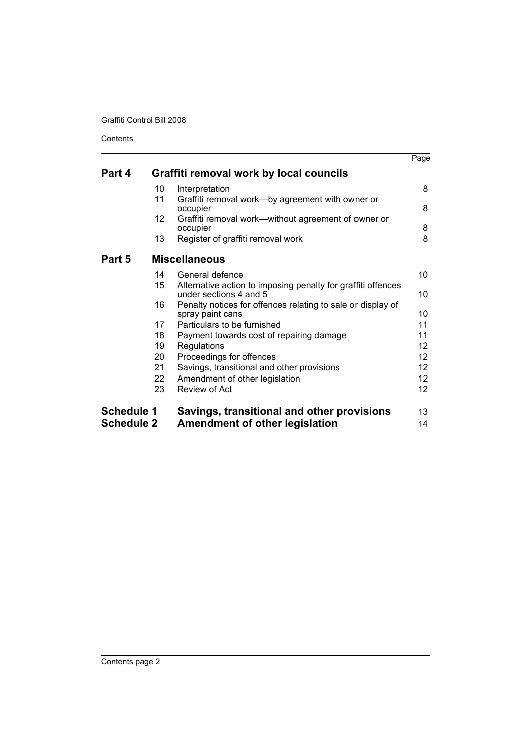**Contents** 

|                   |                 |                                                                                        | Page              |
|-------------------|-----------------|----------------------------------------------------------------------------------------|-------------------|
| Part 4            |                 | Graffiti removal work by local councils                                                |                   |
|                   | 10              | Interpretation                                                                         | 8                 |
|                   | 11              | Graffiti removal work—by agreement with owner or<br>occupier                           | 8                 |
|                   | 12 <sup>2</sup> | Graffiti removal work—without agreement of owner or<br>occupier                        | 8                 |
|                   | 13              | Register of graffiti removal work                                                      | 8                 |
| Part 5            |                 | <b>Miscellaneous</b>                                                                   |                   |
|                   | 14              | General defence                                                                        | 10                |
|                   | 15              | Alternative action to imposing penalty for graffiti offences<br>under sections 4 and 5 | 10                |
|                   | 16              | Penalty notices for offences relating to sale or display of<br>spray paint cans        | 10                |
|                   | 17              | Particulars to be furnished                                                            | 11                |
|                   | 18              | Payment towards cost of repairing damage                                               | 11                |
|                   | 19              | Regulations                                                                            | 12                |
|                   | 20              | Proceedings for offences                                                               | $12 \overline{ }$ |
|                   | 21              | Savings, transitional and other provisions                                             | 12                |
|                   | 22              | Amendment of other legislation                                                         | 12                |
|                   | 23              | Review of Act                                                                          | 12                |
| <b>Schedule 1</b> |                 | Savings, transitional and other provisions                                             | 13                |
| <b>Schedule 2</b> |                 | <b>Amendment of other legislation</b>                                                  | 14                |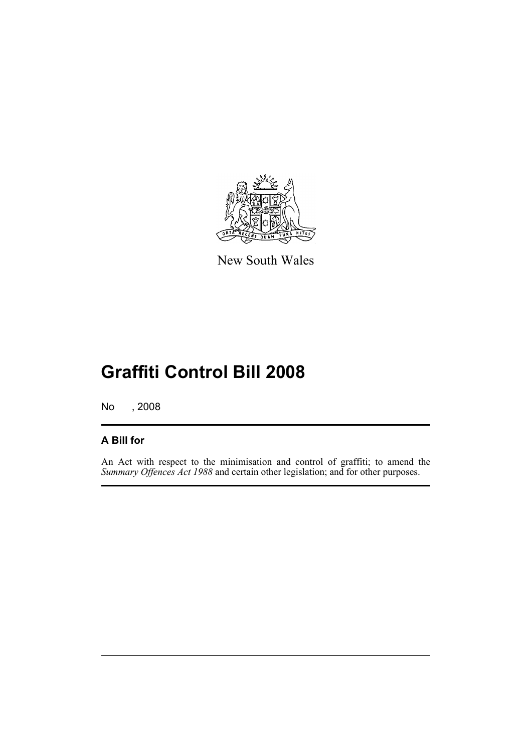

New South Wales

# **Graffiti Control Bill 2008**

No , 2008

## **A Bill for**

An Act with respect to the minimisation and control of graffiti; to amend the *Summary Offences Act 1988* and certain other legislation; and for other purposes.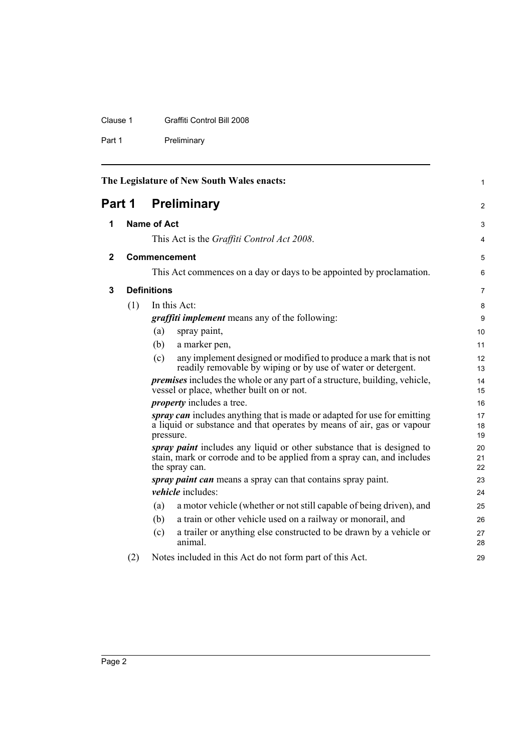#### Clause 1 Graffiti Control Bill 2008

Part 1 Preliminary

<span id="page-7-3"></span><span id="page-7-2"></span><span id="page-7-1"></span><span id="page-7-0"></span>

| The Legislature of New South Wales enacts: |     |                    |                                                                                                                                                                     | $\mathbf{1}$   |
|--------------------------------------------|-----|--------------------|---------------------------------------------------------------------------------------------------------------------------------------------------------------------|----------------|
| Part 1                                     |     |                    | <b>Preliminary</b>                                                                                                                                                  | 2              |
| 1                                          |     | <b>Name of Act</b> |                                                                                                                                                                     | 3              |
|                                            |     |                    | This Act is the Graffiti Control Act 2008.                                                                                                                          | 4              |
| $\mathbf{2}$                               |     |                    | Commencement                                                                                                                                                        | 5              |
|                                            |     |                    | This Act commences on a day or days to be appointed by proclamation.                                                                                                | 6              |
| 3                                          |     | <b>Definitions</b> |                                                                                                                                                                     | $\overline{7}$ |
|                                            | (1) |                    | In this Act:                                                                                                                                                        | 8              |
|                                            |     |                    | <i>graffiti implement</i> means any of the following:                                                                                                               | 9              |
|                                            |     | (a)                | spray paint,                                                                                                                                                        | 10             |
|                                            |     | (b)                | a marker pen,                                                                                                                                                       | 11             |
|                                            |     | (c)                | any implement designed or modified to produce a mark that is not<br>readily removable by wiping or by use of water or detergent.                                    | 12<br>13       |
|                                            |     |                    | <i>premises</i> includes the whole or any part of a structure, building, vehicle,<br>vessel or place, whether built on or not.                                      | 14<br>15       |
|                                            |     |                    | <i>property</i> includes a tree.                                                                                                                                    | 16             |
|                                            |     | pressure.          | spray can includes anything that is made or adapted for use for emitting<br>a liquid or substance and that operates by means of air, gas or vapour                  | 17<br>18<br>19 |
|                                            |     |                    | spray paint includes any liquid or other substance that is designed to<br>stain, mark or corrode and to be applied from a spray can, and includes<br>the spray can. | 20<br>21<br>22 |
|                                            |     |                    | spray paint can means a spray can that contains spray paint.                                                                                                        | 23             |
|                                            |     |                    | <i>vehicle</i> includes:                                                                                                                                            | 24             |
|                                            |     | (a)                | a motor vehicle (whether or not still capable of being driven), and                                                                                                 | 25             |
|                                            |     | (b)                | a train or other vehicle used on a railway or monorail, and                                                                                                         | 26             |
|                                            |     | (c)                | a trailer or anything else constructed to be drawn by a vehicle or<br>animal.                                                                                       | 27<br>28       |
|                                            | (2) |                    | Notes included in this Act do not form part of this Act.                                                                                                            | 29             |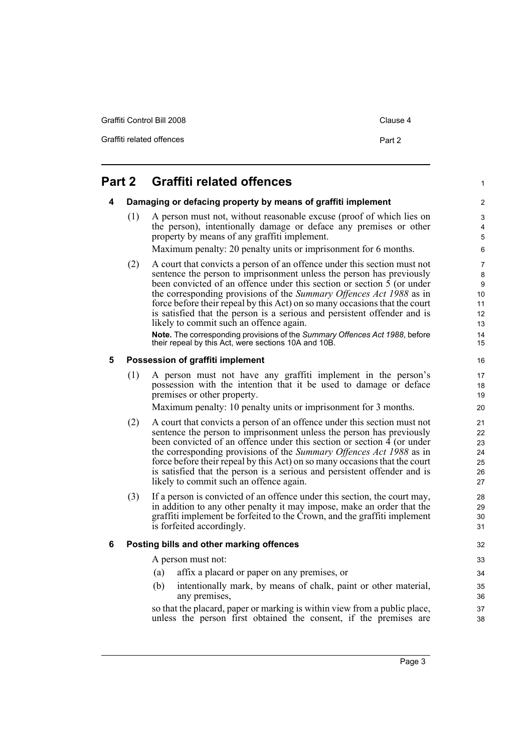Graffiti Control Bill 2008 Clause 4

Graffiti related offences **Part 2** 

1

## <span id="page-8-1"></span><span id="page-8-0"></span>**Part 2 Graffiti related offences**

#### **4 Damaging or defacing property by means of graffiti implement**

(1) A person must not, without reasonable excuse (proof of which lies on the person), intentionally damage or deface any premises or other property by means of any graffiti implement.

Maximum penalty: 20 penalty units or imprisonment for 6 months.

(2) A court that convicts a person of an offence under this section must not sentence the person to imprisonment unless the person has previously been convicted of an offence under this section or section  $\overline{5}$  (or under the corresponding provisions of the *Summary Offences Act 1988* as in force before their repeal by this Act) on so many occasions that the court is satisfied that the person is a serious and persistent offender and is likely to commit such an offence again.

**Note.** The corresponding provisions of the *Summary Offences Act 1988*, before their repeal by this Act, were sections 10A and 10B.

#### <span id="page-8-2"></span>**5 Possession of graffiti implement**

(1) A person must not have any graffiti implement in the person's possession with the intention that it be used to damage or deface premises or other property.

Maximum penalty: 10 penalty units or imprisonment for 3 months.

- (2) A court that convicts a person of an offence under this section must not sentence the person to imprisonment unless the person has previously been convicted of an offence under this section or section 4 (or under the corresponding provisions of the *Summary Offences Act 1988* as in force before their repeal by this Act) on so many occasions that the court is satisfied that the person is a serious and persistent offender and is likely to commit such an offence again.
- (3) If a person is convicted of an offence under this section, the court may, in addition to any other penalty it may impose, make an order that the graffiti implement be forfeited to the Crown, and the graffiti implement is forfeited accordingly.

#### <span id="page-8-3"></span>**6 Posting bills and other marking offences**

A person must not:

- (a) affix a placard or paper on any premises, or
- (b) intentionally mark, by means of chalk, paint or other material, any premises,

so that the placard, paper or marking is within view from a public place, unless the person first obtained the consent, if the premises are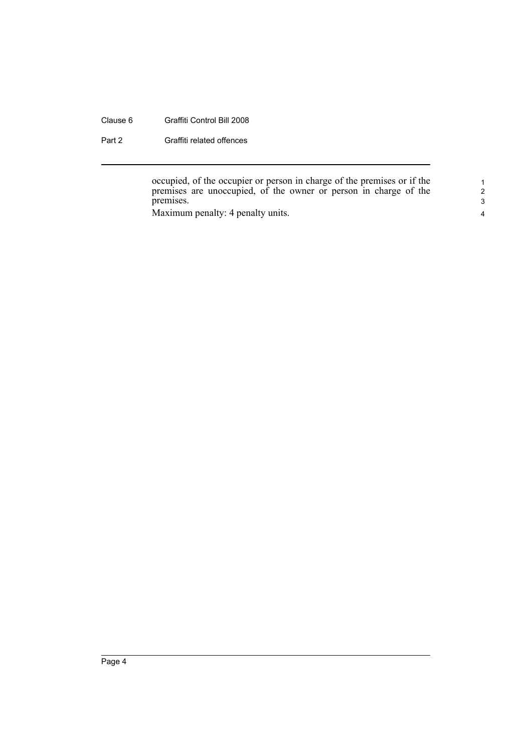#### Clause 6 Graffiti Control Bill 2008

Part 2 Graffiti related offences

occupied, of the occupier or person in charge of the premises or if the premises are unoccupied, of the owner or person in charge of the premises.

Maximum penalty: 4 penalty units.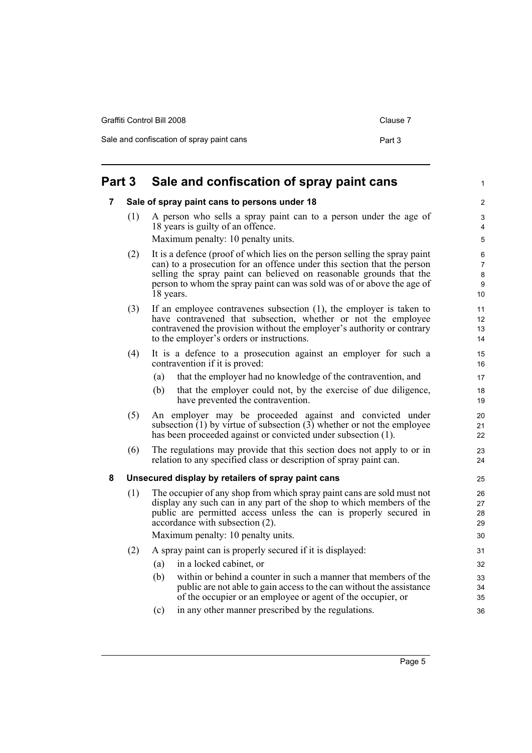| <b>Part 3</b> | Sale and confiscation of spray paint cans |          |
|---------------|-------------------------------------------|----------|
|               | Sale and confiscation of spray paint cans | Part 3   |
|               | Graffiti Control Bill 2008                | Clause 7 |

## <span id="page-10-1"></span><span id="page-10-0"></span>**7 Sale of spray paint cans to persons under 18**

- (1) A person who sells a spray paint can to a person under the age of 18 years is guilty of an offence. Maximum penalty: 10 penalty units.
- (2) It is a defence (proof of which lies on the person selling the spray paint can) to a prosecution for an offence under this section that the person selling the spray paint can believed on reasonable grounds that the person to whom the spray paint can was sold was of or above the age of 18 years.
- (3) If an employee contravenes subsection (1), the employer is taken to have contravened that subsection, whether or not the employee contravened the provision without the employer's authority or contrary to the employer's orders or instructions.
- (4) It is a defence to a prosecution against an employer for such a contravention if it is proved:
	- (a) that the employer had no knowledge of the contravention, and
	- (b) that the employer could not, by the exercise of due diligence, have prevented the contravention.
- (5) An employer may be proceeded against and convicted under subsection  $(1)$  by virtue of subsection  $(3)$  whether or not the employee has been proceeded against or convicted under subsection (1).
- (6) The regulations may provide that this section does not apply to or in relation to any specified class or description of spray paint can.

#### <span id="page-10-2"></span>**8 Unsecured display by retailers of spray paint cans**

- (1) The occupier of any shop from which spray paint cans are sold must not display any such can in any part of the shop to which members of the public are permitted access unless the can is properly secured in accordance with subsection (2). Maximum penalty: 10 penalty units. (2) A spray paint can is properly secured if it is displayed: (a) in a locked cabinet, or
	- (b) within or behind a counter in such a manner that members of the public are not able to gain access to the can without the assistance of the occupier or an employee or agent of the occupier, or 32 33 34 35
	- (c) in any other manner prescribed by the regulations.

1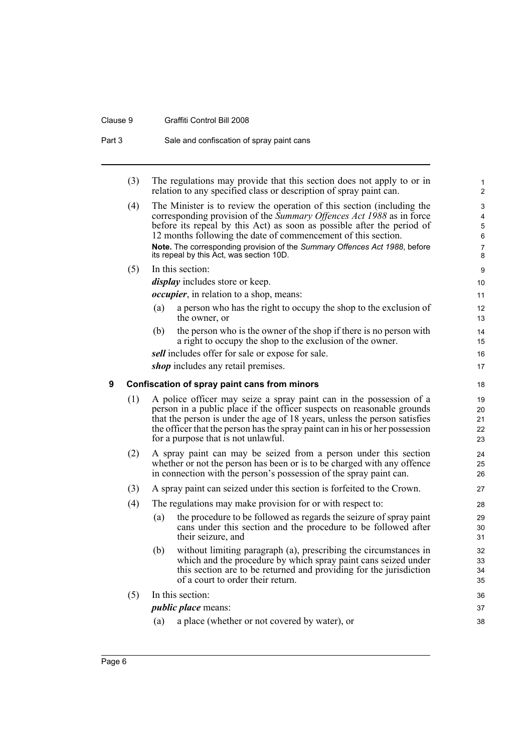#### Clause 9 Graffiti Control Bill 2008

<span id="page-11-0"></span>

| Part 3 |     |     | Sale and confiscation of spray paint cans                                                                                                                                                                                                                                                                                                                                                                           |                                                   |
|--------|-----|-----|---------------------------------------------------------------------------------------------------------------------------------------------------------------------------------------------------------------------------------------------------------------------------------------------------------------------------------------------------------------------------------------------------------------------|---------------------------------------------------|
|        | (3) |     | The regulations may provide that this section does not apply to or in<br>relation to any specified class or description of spray paint can.                                                                                                                                                                                                                                                                         | $\mathbf 1$<br>$\overline{2}$                     |
|        | (4) |     | The Minister is to review the operation of this section (including the<br>corresponding provision of the Summary Offences Act 1988 as in force<br>before its repeal by this Act) as soon as possible after the period of<br>12 months following the date of commencement of this section.<br>Note. The corresponding provision of the Summary Offences Act 1988, before<br>its repeal by this Act, was section 10D. | 3<br>4<br>$\mathbf 5$<br>6<br>$\overline{7}$<br>8 |
|        | (5) |     | In this section:                                                                                                                                                                                                                                                                                                                                                                                                    | 9                                                 |
|        |     |     | <i>display</i> includes store or keep.                                                                                                                                                                                                                                                                                                                                                                              | 10                                                |
|        |     |     | <i>occupier</i> , in relation to a shop, means:                                                                                                                                                                                                                                                                                                                                                                     | 11                                                |
|        |     | (a) | a person who has the right to occupy the shop to the exclusion of<br>the owner, or                                                                                                                                                                                                                                                                                                                                  | 12<br>13                                          |
|        |     | (b) | the person who is the owner of the shop if there is no person with<br>a right to occupy the shop to the exclusion of the owner.                                                                                                                                                                                                                                                                                     | 14<br>15                                          |
|        |     |     | sell includes offer for sale or expose for sale.                                                                                                                                                                                                                                                                                                                                                                    | 16                                                |
|        |     |     | <i>shop</i> includes any retail premises.                                                                                                                                                                                                                                                                                                                                                                           | 17                                                |
| 9      |     |     | Confiscation of spray paint cans from minors                                                                                                                                                                                                                                                                                                                                                                        | 18                                                |
|        | (1) |     | A police officer may seize a spray paint can in the possession of a<br>person in a public place if the officer suspects on reasonable grounds<br>that the person is under the age of 18 years, unless the person satisfies<br>the officer that the person has the spray paint can in his or her possession<br>for a purpose that is not unlawful.                                                                   | 19<br>20<br>21<br>22<br>23                        |
|        | (2) |     | A spray paint can may be seized from a person under this section<br>whether or not the person has been or is to be charged with any offence<br>in connection with the person's possession of the spray paint can.                                                                                                                                                                                                   | 24<br>25<br>26                                    |
|        | (3) |     | A spray paint can seized under this section is forfeited to the Crown.                                                                                                                                                                                                                                                                                                                                              | 27                                                |
|        | (4) |     | The regulations may make provision for or with respect to:                                                                                                                                                                                                                                                                                                                                                          | 28                                                |
|        |     | (a) | the procedure to be followed as regards the seizure of spray paint<br>cans under this section and the procedure to be followed after<br>their seizure, and                                                                                                                                                                                                                                                          | 29<br>30<br>31                                    |
|        |     | (b) | without limiting paragraph (a), prescribing the circumstances in<br>which and the procedure by which spray paint cans seized under<br>this section are to be returned and providing for the jurisdiction<br>of a court to order their return.                                                                                                                                                                       | 32<br>33<br>34<br>35                              |
|        | (5) |     | In this section:                                                                                                                                                                                                                                                                                                                                                                                                    | 36                                                |
|        |     |     | <i>public place</i> means:                                                                                                                                                                                                                                                                                                                                                                                          | 37                                                |
|        |     | (a) | a place (whether or not covered by water), or                                                                                                                                                                                                                                                                                                                                                                       | 38                                                |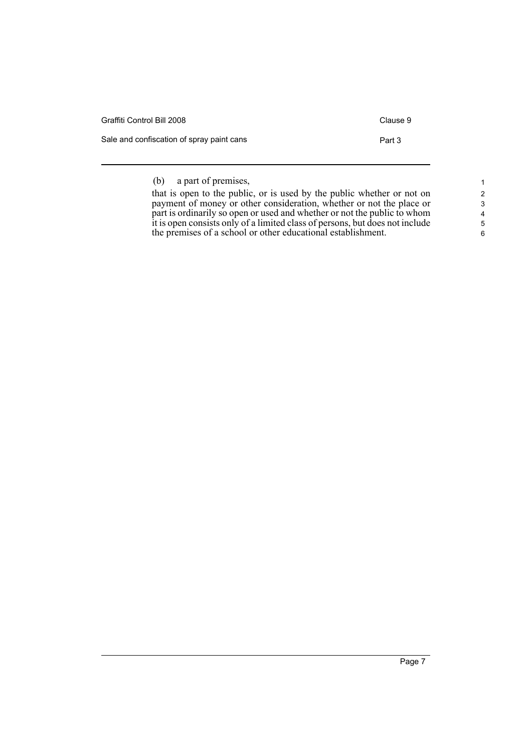| Graffiti Control Bill 2008                | Clause 9 |
|-------------------------------------------|----------|
| Sale and confiscation of spray paint cans | Part 3   |

## (b) a part of premises,

| that is open to the public, or is used by the public whether or not on       |
|------------------------------------------------------------------------------|
| payment of money or other consideration, whether or not the place or         |
| part is ordinarily so open or used and whether or not the public to whom     |
| it is open consists only of a limited class of persons, but does not include |
| the premises of a school or other educational establishment.                 |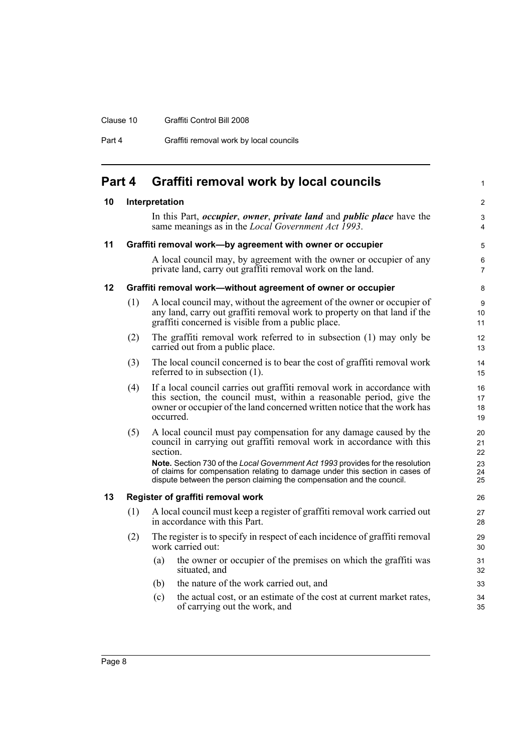#### Clause 10 Graffiti Control Bill 2008

Part 4 **Graffiti removal work by local councils** 

<span id="page-13-4"></span><span id="page-13-3"></span><span id="page-13-2"></span><span id="page-13-1"></span><span id="page-13-0"></span>

| Part 4 |     | Graffiti removal work by local councils                                                                                                                                                                                                  | 1                    |
|--------|-----|------------------------------------------------------------------------------------------------------------------------------------------------------------------------------------------------------------------------------------------|----------------------|
| 10     |     | Interpretation                                                                                                                                                                                                                           | $\mathbf{2}$         |
|        |     | In this Part, <i>occupier</i> , <i>owner</i> , <i>private land</i> and <i>public place</i> have the<br>same meanings as in the <i>Local Government Act 1993</i> .                                                                        | 3<br>4               |
| 11     |     | Graffiti removal work-by agreement with owner or occupier                                                                                                                                                                                | 5                    |
|        |     | A local council may, by agreement with the owner or occupier of any<br>private land, carry out graffiti removal work on the land.                                                                                                        | 6<br>$\overline{7}$  |
| 12     |     | Graffiti removal work-without agreement of owner or occupier                                                                                                                                                                             | 8                    |
|        | (1) | A local council may, without the agreement of the owner or occupier of<br>any land, carry out graffiti removal work to property on that land if the<br>graffiti concerned is visible from a public place.                                | 9<br>10<br>11        |
|        | (2) | The graffiti removal work referred to in subsection (1) may only be<br>carried out from a public place.                                                                                                                                  | 12<br>13             |
|        | (3) | The local council concerned is to bear the cost of graffiti removal work<br>referred to in subsection (1).                                                                                                                               | 14<br>15             |
|        | (4) | If a local council carries out graffiti removal work in accordance with<br>this section, the council must, within a reasonable period, give the<br>owner or occupier of the land concerned written notice that the work has<br>occurred. | 16<br>17<br>18<br>19 |
|        | (5) | A local council must pay compensation for any damage caused by the<br>council in carrying out graffiti removal work in accordance with this<br>section.                                                                                  | 20<br>21<br>22       |
|        |     | Note. Section 730 of the Local Government Act 1993 provides for the resolution<br>of claims for compensation relating to damage under this section in cases of<br>dispute between the person claiming the compensation and the council.  | 23<br>24<br>25       |
| 13     |     | Register of graffiti removal work                                                                                                                                                                                                        | 26                   |
|        | (1) | A local council must keep a register of graffiti removal work carried out<br>in accordance with this Part.                                                                                                                               | 27<br>28             |
|        | (2) | The register is to specify in respect of each incidence of graffiti removal<br>work carried out:                                                                                                                                         | 29<br>30             |
|        |     | the owner or occupier of the premises on which the graffiti was<br>(a)<br>situated, and                                                                                                                                                  | 31<br>32             |
|        |     | the nature of the work carried out, and<br>(b)                                                                                                                                                                                           | 33                   |
|        |     | (c)<br>the actual cost, or an estimate of the cost at current market rates,<br>of carrying out the work, and                                                                                                                             | 34<br>35             |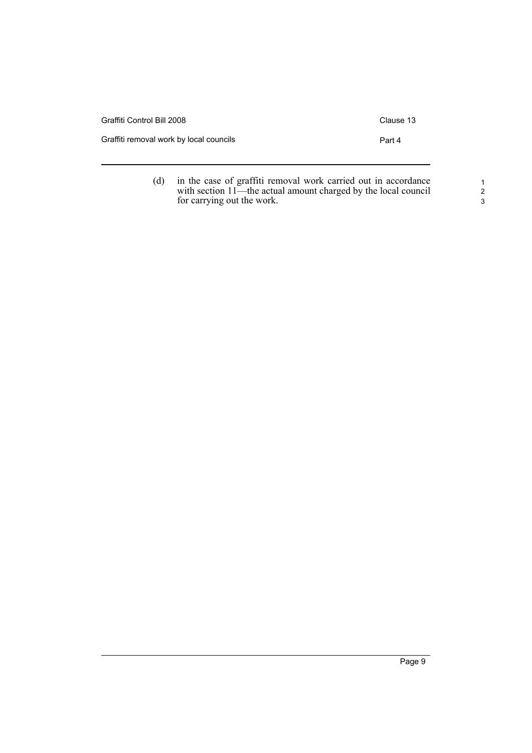| Graffiti Control Bill 2008              | Clause 13 |
|-----------------------------------------|-----------|
| Graffiti removal work by local councils | Part 4    |
|                                         |           |

(d) in the case of graffiti removal work carried out in accordance with section 11—the actual amount charged by the local council for carrying out the work.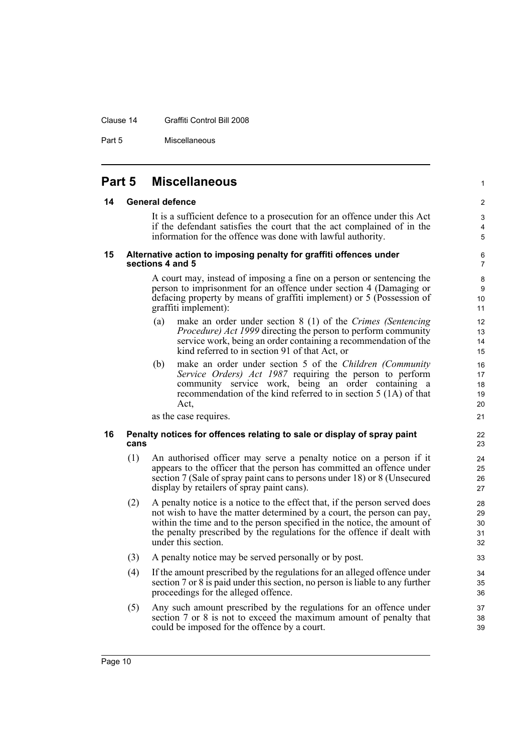#### Clause 14 Graffiti Control Bill 2008

Part 5 Miscellaneous

### <span id="page-15-0"></span>**Part 5 Miscellaneous**

#### <span id="page-15-1"></span>**14 General defence**

It is a sufficient defence to a prosecution for an offence under this Act if the defendant satisfies the court that the act complained of in the information for the offence was done with lawful authority.

1

#### <span id="page-15-2"></span>**15 Alternative action to imposing penalty for graffiti offences under sections 4 and 5**

A court may, instead of imposing a fine on a person or sentencing the person to imprisonment for an offence under section 4 (Damaging or defacing property by means of graffiti implement) or 5 (Possession of graffiti implement):

- (a) make an order under section 8 (1) of the *Crimes (Sentencing Procedure) Act 1999* directing the person to perform community service work, being an order containing a recommendation of the kind referred to in section 91 of that Act, or
- (b) make an order under section 5 of the *Children (Community Service Orders) Act 1987* requiring the person to perform community service work, being an order containing a recommendation of the kind referred to in section 5 (1A) of that Act,

as the case requires.

#### <span id="page-15-3"></span>**16 Penalty notices for offences relating to sale or display of spray paint cans**

- (1) An authorised officer may serve a penalty notice on a person if it appears to the officer that the person has committed an offence under section 7 (Sale of spray paint cans to persons under 18) or 8 (Unsecured display by retailers of spray paint cans).
- (2) A penalty notice is a notice to the effect that, if the person served does not wish to have the matter determined by a court, the person can pay, within the time and to the person specified in the notice, the amount of the penalty prescribed by the regulations for the offence if dealt with under this section.
- (3) A penalty notice may be served personally or by post.
- (4) If the amount prescribed by the regulations for an alleged offence under section 7 or 8 is paid under this section, no person is liable to any further proceedings for the alleged offence.
- (5) Any such amount prescribed by the regulations for an offence under section 7 or 8 is not to exceed the maximum amount of penalty that could be imposed for the offence by a court.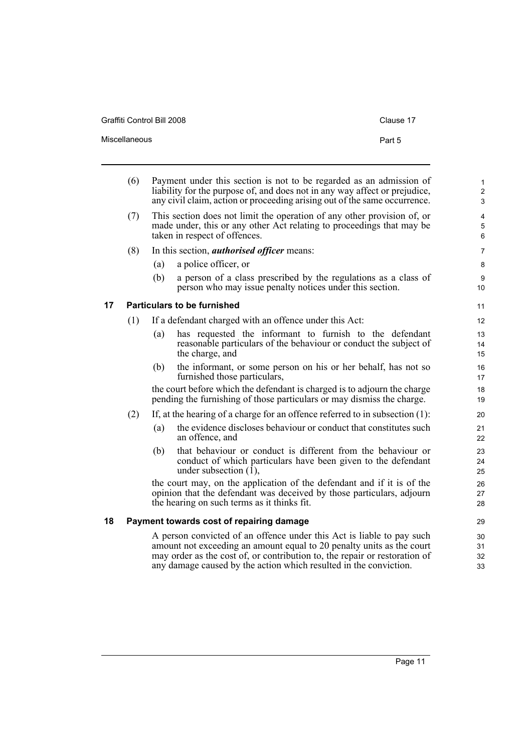Graffiti Control Bill 2008 Clause 17

<span id="page-16-1"></span><span id="page-16-0"></span>L.

|    | (6) | Payment under this section is not to be regarded as an admission of<br>liability for the purpose of, and does not in any way affect or prejudice,<br>any civil claim, action or proceeding arising out of the same occurrence.                                                                    | $\mathbf 1$<br>$\overline{c}$<br>3 |  |
|----|-----|---------------------------------------------------------------------------------------------------------------------------------------------------------------------------------------------------------------------------------------------------------------------------------------------------|------------------------------------|--|
|    | (7) | This section does not limit the operation of any other provision of, or<br>made under, this or any other Act relating to proceedings that may be<br>taken in respect of offences.                                                                                                                 | $\overline{4}$<br>5<br>6           |  |
|    | (8) | In this section, <i>authorised officer</i> means:                                                                                                                                                                                                                                                 | 7                                  |  |
|    |     | a police officer, or<br>(a)                                                                                                                                                                                                                                                                       | 8                                  |  |
|    |     | (b)<br>a person of a class prescribed by the regulations as a class of<br>person who may issue penalty notices under this section.                                                                                                                                                                | 9<br>10                            |  |
| 17 |     | <b>Particulars to be furnished</b>                                                                                                                                                                                                                                                                | 11                                 |  |
|    | (1) | If a defendant charged with an offence under this Act:                                                                                                                                                                                                                                            | 12                                 |  |
|    |     | has requested the informant to furnish to the defendant<br>(a)<br>reasonable particulars of the behaviour or conduct the subject of<br>the charge, and                                                                                                                                            | 13<br>14<br>15                     |  |
|    |     | the informant, or some person on his or her behalf, has not so<br>(b)<br>furnished those particulars,                                                                                                                                                                                             | 16<br>17                           |  |
|    |     | the court before which the defendant is charged is to adjourn the charge<br>pending the furnishing of those particulars or may dismiss the charge.                                                                                                                                                | 18<br>19                           |  |
|    | (2) | If, at the hearing of a charge for an offence referred to in subsection $(1)$ :                                                                                                                                                                                                                   | 20                                 |  |
|    |     | the evidence discloses behaviour or conduct that constitutes such<br>(a)<br>an offence, and                                                                                                                                                                                                       | 21<br>22                           |  |
|    |     | that behaviour or conduct is different from the behaviour or<br>(b)<br>conduct of which particulars have been given to the defendant<br>under subsection $(\bar{1})$ ,                                                                                                                            | 23<br>24<br>25                     |  |
|    |     | the court may, on the application of the defendant and if it is of the<br>opinion that the defendant was deceived by those particulars, adjourn<br>the hearing on such terms as it thinks fit.                                                                                                    | 26<br>27<br>28                     |  |
| 18 |     | Payment towards cost of repairing damage                                                                                                                                                                                                                                                          | 29                                 |  |
|    |     | A person convicted of an offence under this Act is liable to pay such<br>amount not exceeding an amount equal to 20 penalty units as the court<br>may order as the cost of, or contribution to, the repair or restoration of<br>any damage caused by the action which resulted in the conviction. | 30<br>31<br>32<br>33               |  |
|    |     |                                                                                                                                                                                                                                                                                                   |                                    |  |

Miscellaneous **Part 5**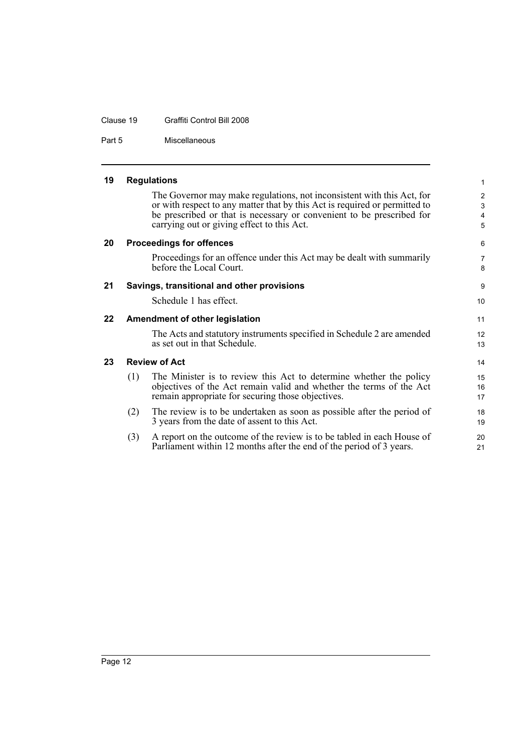#### Clause 19 Graffiti Control Bill 2008

Part 5 Miscellaneous

<span id="page-17-4"></span><span id="page-17-3"></span><span id="page-17-2"></span><span id="page-17-1"></span><span id="page-17-0"></span>

| 19 |     | <b>Regulations</b>                                                                                                                                                                                                                                                          | $\mathbf{1}$                               |
|----|-----|-----------------------------------------------------------------------------------------------------------------------------------------------------------------------------------------------------------------------------------------------------------------------------|--------------------------------------------|
|    |     | The Governor may make regulations, not inconsistent with this Act, for<br>or with respect to any matter that by this Act is required or permitted to<br>be prescribed or that is necessary or convenient to be prescribed for<br>carrying out or giving effect to this Act. | $\overline{2}$<br>3<br>$\overline{4}$<br>5 |
| 20 |     | <b>Proceedings for offences</b>                                                                                                                                                                                                                                             | 6                                          |
|    |     | Proceedings for an offence under this Act may be dealt with summarily<br>before the Local Court.                                                                                                                                                                            | $\overline{7}$<br>8                        |
| 21 |     | Savings, transitional and other provisions                                                                                                                                                                                                                                  | 9                                          |
|    |     | Schedule 1 has effect.                                                                                                                                                                                                                                                      | 10                                         |
| 22 |     | <b>Amendment of other legislation</b>                                                                                                                                                                                                                                       | 11                                         |
|    |     | The Acts and statutory instruments specified in Schedule 2 are amended<br>as set out in that Schedule.                                                                                                                                                                      | 12<br>13                                   |
| 23 |     | <b>Review of Act</b>                                                                                                                                                                                                                                                        | 14                                         |
|    | (1) | The Minister is to review this Act to determine whether the policy<br>objectives of the Act remain valid and whether the terms of the Act<br>remain appropriate for securing those objectives.                                                                              | 15<br>16<br>17                             |
|    | (2) | The review is to be undertaken as soon as possible after the period of<br>3 years from the date of assent to this Act.                                                                                                                                                      | 18<br>19                                   |
|    | (3) | A report on the outcome of the review is to be tabled in each House of<br>Parliament within 12 months after the end of the period of 3 years.                                                                                                                               | 20<br>21                                   |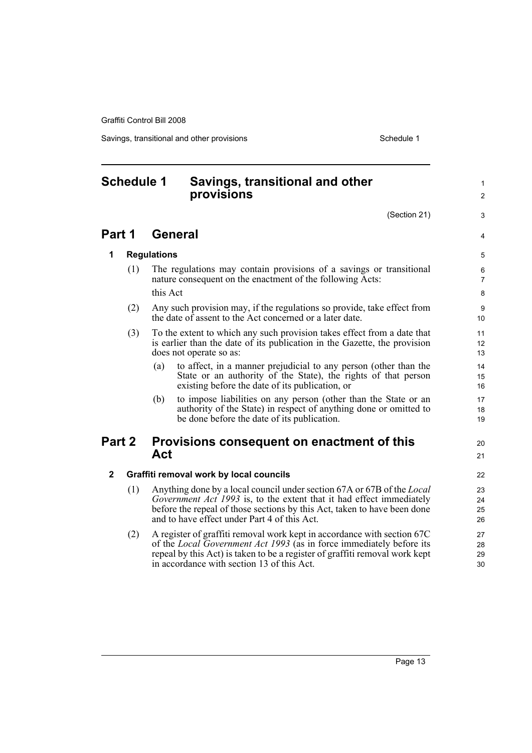Savings, transitional and other provisions Schedule 1 and the state of the Schedule 1

1  $\mathfrak{p}$ 

3

4

 $20$ 21

## <span id="page-18-0"></span>**Schedule 1 Savings, transitional and other provisions** (Section 21) **Part 1 General 1 Regulations** (1) The regulations may contain provisions of a savings or transitional nature consequent on the enactment of the following Acts: this Act (2) Any such provision may, if the regulations so provide, take effect from the date of assent to the Act concerned or a later date. (3) To the extent to which any such provision takes effect from a date that is earlier than the date of its publication in the Gazette, the provision does not operate so as: (a) to affect, in a manner prejudicial to any person (other than the State or an authority of the State), the rights of that person existing before the date of its publication, or (b) to impose liabilities on any person (other than the State or an authority of the State) in respect of anything done or omitted to be done before the date of its publication. **Part 2 Provisions consequent on enactment of this Act 2 Graffiti removal work by local councils** (1) Anything done by a local council under section 67A or 67B of the *Local Government Act 1993* is, to the extent that it had effect immediately before the repeal of those sections by this Act, taken to have been done and to have effect under Part 4 of this Act. (2) A register of graffiti removal work kept in accordance with section 67C of the *Local Government Act 1993* (as in force immediately before its repeal by this Act) is taken to be a register of graffiti removal work kept

in accordance with section 13 of this Act.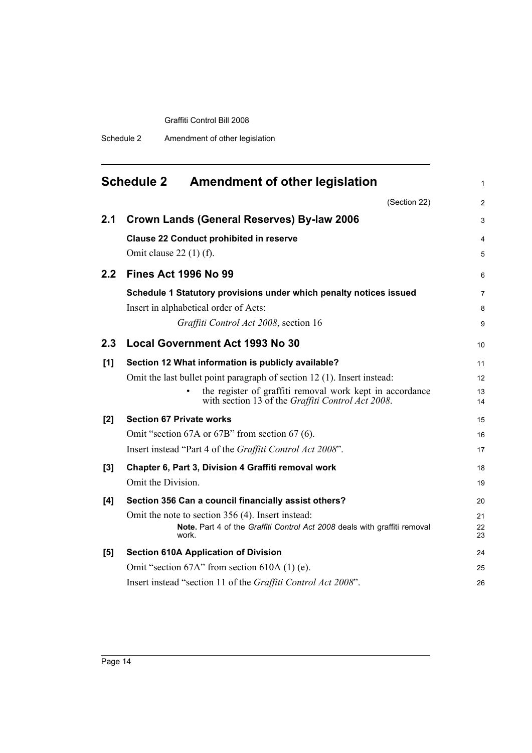Schedule 2 Amendment of other legislation

<span id="page-19-0"></span>

|       | <b>Schedule 2</b><br>Amendment of other legislation                                                                                                                                                                                            | 1                        |
|-------|------------------------------------------------------------------------------------------------------------------------------------------------------------------------------------------------------------------------------------------------|--------------------------|
|       | (Section 22)                                                                                                                                                                                                                                   | $\overline{2}$           |
| 2.1   | <b>Crown Lands (General Reserves) By-law 2006</b>                                                                                                                                                                                              | 3                        |
|       | <b>Clause 22 Conduct prohibited in reserve</b><br>Omit clause $22(1)$ (f).                                                                                                                                                                     | 4<br>5                   |
| 2.2   | <b>Fines Act 1996 No 99</b>                                                                                                                                                                                                                    | 6                        |
|       | Schedule 1 Statutory provisions under which penalty notices issued<br>Insert in alphabetical order of Acts:<br>Graffiti Control Act 2008, section 16                                                                                           | $\overline{7}$<br>8<br>9 |
| 2.3   | <b>Local Government Act 1993 No 30</b>                                                                                                                                                                                                         | 10                       |
| [1]   | Section 12 What information is publicly available?<br>Omit the last bullet point paragraph of section 12 (1). Insert instead:<br>the register of graffiti removal work kept in accordance<br>with section 13 of the Graffiti Control Act 2008. | 11<br>12<br>13<br>14     |
| [2]   | <b>Section 67 Private works</b><br>Omit "section 67A or 67B" from section 67 (6).<br>Insert instead "Part 4 of the Graffiti Control Act 2008".                                                                                                 | 15<br>16<br>17           |
| $[3]$ | Chapter 6, Part 3, Division 4 Graffiti removal work<br>Omit the Division.                                                                                                                                                                      | 18<br>19                 |
| [4]   | Section 356 Can a council financially assist others?<br>Omit the note to section 356 (4). Insert instead:<br>Note. Part 4 of the Graffiti Control Act 2008 deals with graffiti removal<br>work.                                                | 20<br>21<br>22<br>23     |
| [5]   | <b>Section 610A Application of Division</b><br>Omit "section 67A" from section 610A (1) (e).<br>Insert instead "section 11 of the Graffiti Control Act 2008".                                                                                  | 24<br>25<br>26           |
|       |                                                                                                                                                                                                                                                |                          |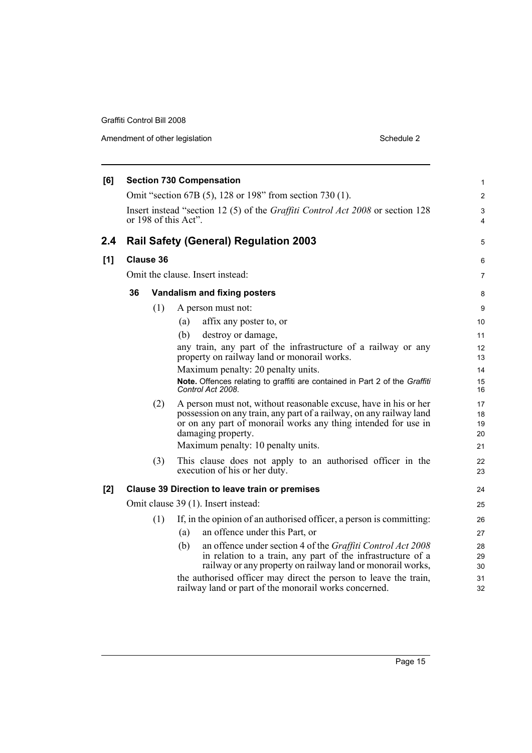| Amendment of other legislation | Schedule 2 |
|--------------------------------|------------|
|--------------------------------|------------|

| [6] |                                  |                  | <b>Section 730 Compensation</b>                                                                                                                                                                                                 | 1                    |
|-----|----------------------------------|------------------|---------------------------------------------------------------------------------------------------------------------------------------------------------------------------------------------------------------------------------|----------------------|
|     |                                  |                  | Omit "section 67B (5), 128 or 198" from section 730 (1).                                                                                                                                                                        | $\overline{2}$       |
|     |                                  |                  | Insert instead "section 12 (5) of the <i>Graffiti Control Act 2008</i> or section 128<br>or 198 of this Act".                                                                                                                   | 3<br>4               |
| 2.4 |                                  |                  | <b>Rail Safety (General) Regulation 2003</b>                                                                                                                                                                                    | 5                    |
| [1] |                                  | <b>Clause 36</b> |                                                                                                                                                                                                                                 | 6                    |
|     | Omit the clause. Insert instead: |                  |                                                                                                                                                                                                                                 | $\overline{7}$       |
|     | 36                               |                  | Vandalism and fixing posters                                                                                                                                                                                                    | 8                    |
|     |                                  | (1)              | A person must not:                                                                                                                                                                                                              | 9                    |
|     |                                  |                  | affix any poster to, or<br>(a)                                                                                                                                                                                                  | 10                   |
|     |                                  |                  | (b)<br>destroy or damage,                                                                                                                                                                                                       | 11                   |
|     |                                  |                  | any train, any part of the infrastructure of a railway or any<br>property on railway land or monorail works.                                                                                                                    | 12<br>13             |
|     |                                  |                  | Maximum penalty: 20 penalty units.                                                                                                                                                                                              | 14                   |
|     |                                  |                  | Note. Offences relating to graffiti are contained in Part 2 of the Graffiti<br>Control Act 2008.                                                                                                                                | 15<br>16             |
|     |                                  | (2)              | A person must not, without reasonable excuse, have in his or her<br>possession on any train, any part of a railway, on any railway land<br>or on any part of monorail works any thing intended for use in<br>damaging property. | 17<br>18<br>19<br>20 |
|     |                                  |                  | Maximum penalty: 10 penalty units.                                                                                                                                                                                              | 21                   |
|     |                                  | (3)              | This clause does not apply to an authorised officer in the<br>execution of his or her duty.                                                                                                                                     | 22<br>23             |
| [2] |                                  |                  | <b>Clause 39 Direction to leave train or premises</b>                                                                                                                                                                           | 24                   |
|     |                                  |                  | Omit clause 39 (1). Insert instead:                                                                                                                                                                                             | 25                   |
|     |                                  | (1)              | If, in the opinion of an authorised officer, a person is committing:                                                                                                                                                            | 26                   |
|     |                                  |                  | an offence under this Part, or<br>(a)                                                                                                                                                                                           | 27                   |
|     |                                  |                  | an offence under section 4 of the Graffiti Control Act 2008<br>(b)<br>in relation to a train, any part of the infrastructure of a<br>railway or any property on railway land or monorail works,                                 | 28<br>29<br>30       |
|     |                                  |                  | the authorised officer may direct the person to leave the train,<br>railway land or part of the monorail works concerned.                                                                                                       | 31<br>32             |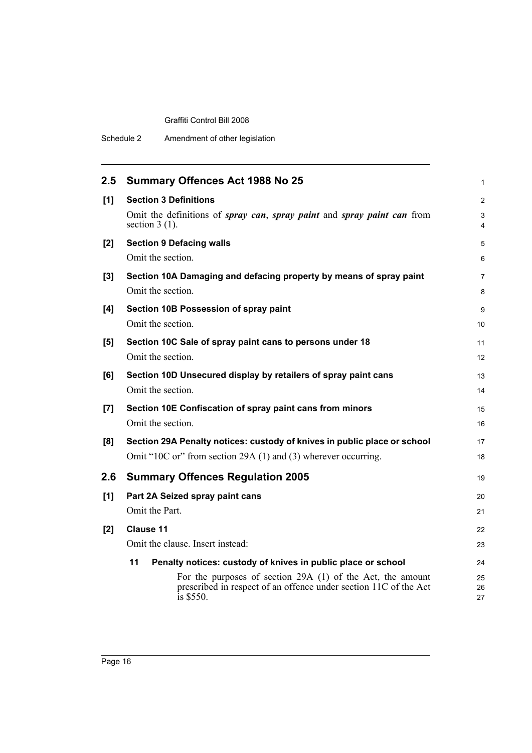| 2.5 | <b>Summary Offences Act 1988 No 25</b>                                                                                                                   | $\mathbf{1}$   |
|-----|----------------------------------------------------------------------------------------------------------------------------------------------------------|----------------|
| [1] | <b>Section 3 Definitions</b>                                                                                                                             | 2              |
|     | Omit the definitions of spray can, spray paint and spray paint can from<br>section $3(1)$ .                                                              | 3<br>4         |
| [2] | <b>Section 9 Defacing walls</b>                                                                                                                          | 5              |
|     | Omit the section.                                                                                                                                        | 6              |
| [3] | Section 10A Damaging and defacing property by means of spray paint                                                                                       | $\overline{7}$ |
|     | Omit the section.                                                                                                                                        | 8              |
| [4] | Section 10B Possession of spray paint                                                                                                                    | 9              |
|     | Omit the section.                                                                                                                                        | 10             |
| [5] | Section 10C Sale of spray paint cans to persons under 18                                                                                                 | 11             |
|     | Omit the section.                                                                                                                                        | 12             |
| [6] | Section 10D Unsecured display by retailers of spray paint cans                                                                                           | 13             |
|     | Omit the section.                                                                                                                                        | 14             |
| [7] | Section 10E Confiscation of spray paint cans from minors                                                                                                 | 15             |
|     | Omit the section.                                                                                                                                        | 16             |
| [8] | Section 29A Penalty notices: custody of knives in public place or school                                                                                 | 17             |
|     | Omit "10C or" from section 29A (1) and (3) wherever occurring.                                                                                           | 18             |
| 2.6 | <b>Summary Offences Regulation 2005</b>                                                                                                                  | 19             |
| [1] | Part 2A Seized spray paint cans                                                                                                                          | 20             |
|     | Omit the Part.                                                                                                                                           | 21             |
| [2] | <b>Clause 11</b>                                                                                                                                         | 22             |
|     | Omit the clause. Insert instead:                                                                                                                         | 23             |
|     | 11<br>Penalty notices: custody of knives in public place or school                                                                                       | 24             |
|     | For the purposes of section 29A (1) of the Act, the amount<br>prescribed in respect of an offence under section 11C of the Act<br>$\frac{1}{1}$ s \$550. | 25<br>26<br>27 |